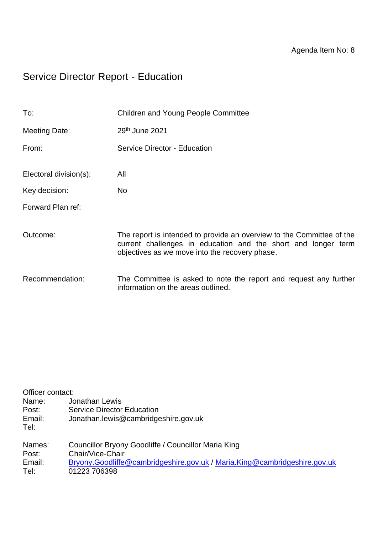# Service Director Report - Education

| To:                    | <b>Children and Young People Committee</b>                                                                                                                                               |
|------------------------|------------------------------------------------------------------------------------------------------------------------------------------------------------------------------------------|
| Meeting Date:          | 29th June 2021                                                                                                                                                                           |
| From:                  | Service Director - Education                                                                                                                                                             |
| Electoral division(s): | All                                                                                                                                                                                      |
| Key decision:          | No.                                                                                                                                                                                      |
| Forward Plan ref:      |                                                                                                                                                                                          |
| Outcome:               | The report is intended to provide an overview to the Committee of the<br>current challenges in education and the short and longer term<br>objectives as we move into the recovery phase. |
| Recommendation:        | The Committee is asked to note the report and request any further<br>information on the areas outlined.                                                                                  |

| Officer contact: |                                                                           |  |  |  |
|------------------|---------------------------------------------------------------------------|--|--|--|
| Name:            | Jonathan Lewis                                                            |  |  |  |
| Post:            | <b>Service Director Education</b>                                         |  |  |  |
| Email:           | Jonathan.lewis@cambridgeshire.gov.uk                                      |  |  |  |
| Tel:             |                                                                           |  |  |  |
| Names:           | Councillor Bryony Goodliffe / Councillor Maria King                       |  |  |  |
| Post:            | Chair/Vice-Chair                                                          |  |  |  |
| Email:           | Bryony.Goodliffe@cambridgeshire.gov.uk / Maria.King@cambridgeshire.gov.uk |  |  |  |
| Tel:             | 01223 706398                                                              |  |  |  |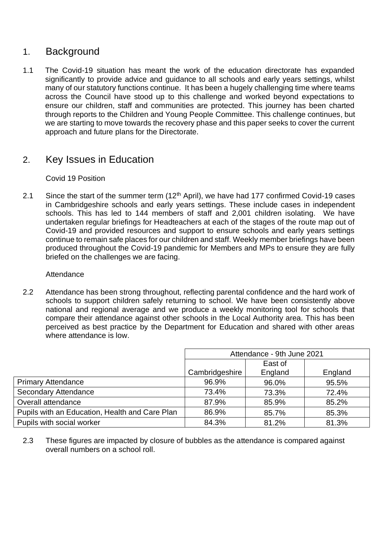## 1. Background

1.1 The Covid-19 situation has meant the work of the education directorate has expanded significantly to provide advice and guidance to all schools and early years settings, whilst many of our statutory functions continue. It has been a hugely challenging time where teams across the Council have stood up to this challenge and worked beyond expectations to ensure our children, staff and communities are protected. This journey has been charted through reports to the Children and Young People Committee. This challenge continues, but we are starting to move towards the recovery phase and this paper seeks to cover the current approach and future plans for the Directorate.

## 2. Key Issues in Education

#### Covid 19 Position

2.1 Since the start of the summer term  $(12<sup>th</sup>$  April), we have had 177 confirmed Covid-19 cases in Cambridgeshire schools and early years settings. These include cases in independent schools. This has led to 144 members of staff and 2,001 children isolating. We have undertaken regular briefings for Headteachers at each of the stages of the route map out of Covid-19 and provided resources and support to ensure schools and early years settings continue to remain safe places for our children and staff. Weekly member briefings have been produced throughout the Covid-19 pandemic for Members and MPs to ensure they are fully briefed on the challenges we are facing.

#### **Attendance**

2.2 Attendance has been strong throughout, reflecting parental confidence and the hard work of schools to support children safely returning to school. We have been consistently above national and regional average and we produce a weekly monitoring tool for schools that compare their attendance against other schools in the Local Authority area. This has been perceived as best practice by the Department for Education and shared with other areas where attendance is low.

|                                                | Attendance - 9th June 2021 |         |         |
|------------------------------------------------|----------------------------|---------|---------|
|                                                |                            | East of |         |
|                                                | Cambridgeshire             | England | England |
| <b>Primary Attendance</b>                      | 96.9%                      | 96.0%   | 95.5%   |
| <b>Secondary Attendance</b>                    | 73.4%                      | 73.3%   | 72.4%   |
| Overall attendance                             | 87.9%                      | 85.9%   | 85.2%   |
| Pupils with an Education, Health and Care Plan | 86.9%                      | 85.7%   | 85.3%   |
| Pupils with social worker                      | 84.3%                      | 81.2%   | 81.3%   |

2.3 These figures are impacted by closure of bubbles as the attendance is compared against overall numbers on a school roll.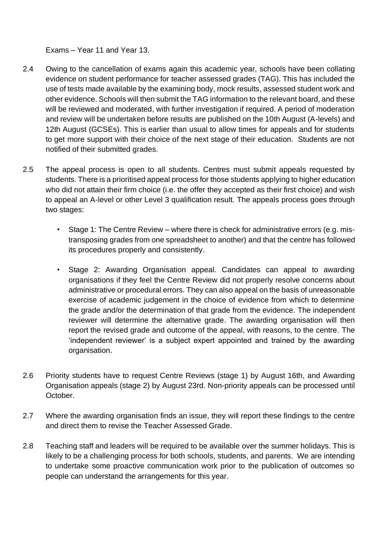Exams – Year 11 and Year 13.

- 2.4 Owing to the cancellation of exams again this academic year, schools have been collating evidence on student performance for teacher assessed grades (TAG). This has included the use of tests made available by the examining body, mock results, assessed student work and other evidence. Schools will then submit the TAG information to the relevant board, and these will be reviewed and moderated, with further investigation if required. A period of moderation and review will be undertaken before results are published on the 10th August (A-levels) and 12th August (GCSEs). This is earlier than usual to allow times for appeals and for students to get more support with their choice of the next stage of their education. Students are not notified of their submitted grades.
- 2.5 The appeal process is open to all students. Centres must submit appeals requested by students. There is a prioritised appeal process for those students applying to higher education who did not attain their firm choice (i.e. the offer they accepted as their first choice) and wish to appeal an A-level or other Level 3 qualification result. The appeals process goes through two stages:
	- Stage 1: The Centre Review where there is check for administrative errors (e.g. mistransposing grades from one spreadsheet to another) and that the centre has followed its procedures properly and consistently.
	- Stage 2: Awarding Organisation appeal. Candidates can appeal to awarding organisations if they feel the Centre Review did not properly resolve concerns about administrative or procedural errors. They can also appeal on the basis of unreasonable exercise of academic judgement in the choice of evidence from which to determine the grade and/or the determination of that grade from the evidence. The independent reviewer will determine the alternative grade. The awarding organisation will then report the revised grade and outcome of the appeal, with reasons, to the centre. The 'independent reviewer' is a subject expert appointed and trained by the awarding organisation.
- 2.6 Priority students have to request Centre Reviews (stage 1) by August 16th, and Awarding Organisation appeals (stage 2) by August 23rd. Non-priority appeals can be processed until October.
- 2.7 Where the awarding organisation finds an issue, they will report these findings to the centre and direct them to revise the Teacher Assessed Grade.
- 2.8 Teaching staff and leaders will be required to be available over the summer holidays. This is likely to be a challenging process for both schools, students, and parents. We are intending to undertake some proactive communication work prior to the publication of outcomes so people can understand the arrangements for this year.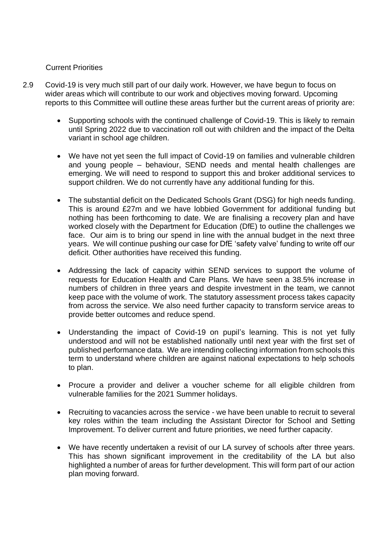#### Current Priorities

- 2.9 Covid-19 is very much still part of our daily work. However, we have begun to focus on wider areas which will contribute to our work and objectives moving forward. Upcoming reports to this Committee will outline these areas further but the current areas of priority are:
	- Supporting schools with the continued challenge of Covid-19. This is likely to remain until Spring 2022 due to vaccination roll out with children and the impact of the Delta variant in school age children.
	- We have not yet seen the full impact of Covid-19 on families and vulnerable children and young people – behaviour, SEND needs and mental health challenges are emerging. We will need to respond to support this and broker additional services to support children. We do not currently have any additional funding for this.
	- The substantial deficit on the Dedicated Schools Grant (DSG) for high needs funding. This is around £27m and we have lobbied Government for additional funding but nothing has been forthcoming to date. We are finalising a recovery plan and have worked closely with the Department for Education (DfE) to outline the challenges we face. Our aim is to bring our spend in line with the annual budget in the next three years. We will continue pushing our case for DfE 'safety valve' funding to write off our deficit. Other authorities have received this funding.
	- Addressing the lack of capacity within SEND services to support the volume of requests for Education Health and Care Plans. We have seen a 38.5% increase in numbers of children in three years and despite investment in the team, we cannot keep pace with the volume of work. The statutory assessment process takes capacity from across the service. We also need further capacity to transform service areas to provide better outcomes and reduce spend.
	- Understanding the impact of Covid-19 on pupil's learning. This is not yet fully understood and will not be established nationally until next year with the first set of published performance data. We are intending collecting information from schools this term to understand where children are against national expectations to help schools to plan.
	- Procure a provider and deliver a voucher scheme for all eligible children from vulnerable families for the 2021 Summer holidays.
	- Recruiting to vacancies across the service we have been unable to recruit to several key roles within the team including the Assistant Director for School and Setting Improvement. To deliver current and future priorities, we need further capacity.
	- We have recently undertaken a revisit of our LA survey of schools after three years. This has shown significant improvement in the creditability of the LA but also highlighted a number of areas for further development. This will form part of our action plan moving forward.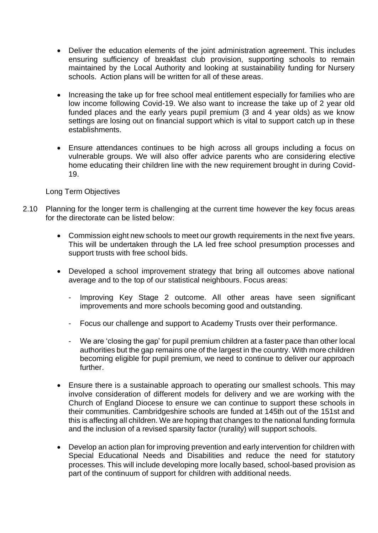- Deliver the education elements of the joint administration agreement. This includes ensuring sufficiency of breakfast club provision, supporting schools to remain maintained by the Local Authority and looking at sustainability funding for Nursery schools. Action plans will be written for all of these areas.
- Increasing the take up for free school meal entitlement especially for families who are low income following Covid-19. We also want to increase the take up of 2 year old funded places and the early years pupil premium (3 and 4 year olds) as we know settings are losing out on financial support which is vital to support catch up in these establishments.
- Ensure attendances continues to be high across all groups including a focus on vulnerable groups. We will also offer advice parents who are considering elective home educating their children line with the new requirement brought in during Covid-19.

#### Long Term Objectives

- 2.10 Planning for the longer term is challenging at the current time however the key focus areas for the directorate can be listed below:
	- Commission eight new schools to meet our growth requirements in the next five years. This will be undertaken through the LA led free school presumption processes and support trusts with free school bids.
	- Developed a school improvement strategy that bring all outcomes above national average and to the top of our statistical neighbours. Focus areas:
		- Improving Key Stage 2 outcome. All other areas have seen significant improvements and more schools becoming good and outstanding.
		- Focus our challenge and support to Academy Trusts over their performance.
		- We are 'closing the gap' for pupil premium children at a faster pace than other local authorities but the gap remains one of the largest in the country. With more children becoming eligible for pupil premium, we need to continue to deliver our approach further.
	- Ensure there is a sustainable approach to operating our smallest schools. This may involve consideration of different models for delivery and we are working with the Church of England Diocese to ensure we can continue to support these schools in their communities. Cambridgeshire schools are funded at 145th out of the 151st and this is affecting all children. We are hoping that changes to the national funding formula and the inclusion of a revised sparsity factor (rurality) will support schools.
	- Develop an action plan for improving prevention and early intervention for children with Special Educational Needs and Disabilities and reduce the need for statutory processes. This will include developing more locally based, school-based provision as part of the continuum of support for children with additional needs.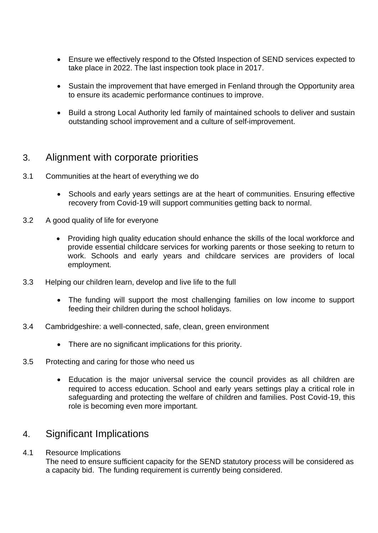- Ensure we effectively respond to the Ofsted Inspection of SEND services expected to take place in 2022. The last inspection took place in 2017.
- Sustain the improvement that have emerged in Fenland through the Opportunity area to ensure its academic performance continues to improve.
- Build a strong Local Authority led family of maintained schools to deliver and sustain outstanding school improvement and a culture of self-improvement.

### 3. Alignment with corporate priorities

- 3.1 Communities at the heart of everything we do
	- Schools and early years settings are at the heart of communities. Ensuring effective recovery from Covid-19 will support communities getting back to normal.
- 3.2 A good quality of life for everyone
	- Providing high quality education should enhance the skills of the local workforce and provide essential childcare services for working parents or those seeking to return to work. Schools and early years and childcare services are providers of local employment.
- 3.3 Helping our children learn, develop and live life to the full
	- The funding will support the most challenging families on low income to support feeding their children during the school holidays.
- 3.4 Cambridgeshire: a well-connected, safe, clean, green environment
	- There are no significant implications for this priority.
- 3.5 Protecting and caring for those who need us
	- Education is the major universal service the council provides as all children are required to access education. School and early years settings play a critical role in safeguarding and protecting the welfare of children and families. Post Covid-19, this role is becoming even more important.

## 4. Significant Implications

4.1 Resource Implications

The need to ensure sufficient capacity for the SEND statutory process will be considered as a capacity bid. The funding requirement is currently being considered.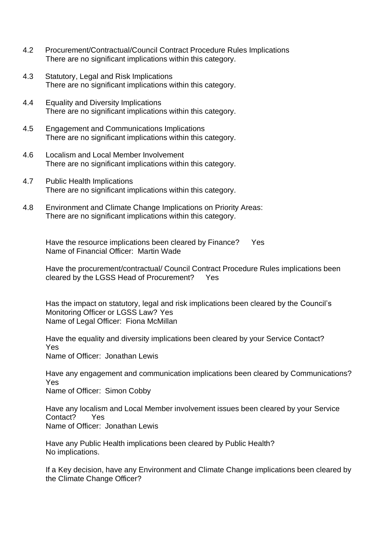- 4.2 Procurement/Contractual/Council Contract Procedure Rules Implications There are no significant implications within this category.
- 4.3 Statutory, Legal and Risk Implications There are no significant implications within this category.
- 4.4 Equality and Diversity Implications There are no significant implications within this category.
- 4.5 Engagement and Communications Implications There are no significant implications within this category.
- 4.6 Localism and Local Member Involvement There are no significant implications within this category.
- 4.7 Public Health Implications There are no significant implications within this category.
- 4.8 Environment and Climate Change Implications on Priority Areas: There are no significant implications within this category.

Have the resource implications been cleared by Finance? Yes Name of Financial Officer: Martin Wade

Have the procurement/contractual/ Council Contract Procedure Rules implications been cleared by the LGSS Head of Procurement? Yes

Has the impact on statutory, legal and risk implications been cleared by the Council's Monitoring Officer or LGSS Law? Yes Name of Legal Officer: Fiona McMillan

Have the equality and diversity implications been cleared by your Service Contact? Yes

Name of Officer: Jonathan Lewis

Have any engagement and communication implications been cleared by Communications? Yes

Name of Officer: Simon Cobby

Have any localism and Local Member involvement issues been cleared by your Service Contact? Yes Name of Officer: Jonathan Lewis

Have any Public Health implications been cleared by Public Health? No implications.

If a Key decision, have any Environment and Climate Change implications been cleared by the Climate Change Officer?